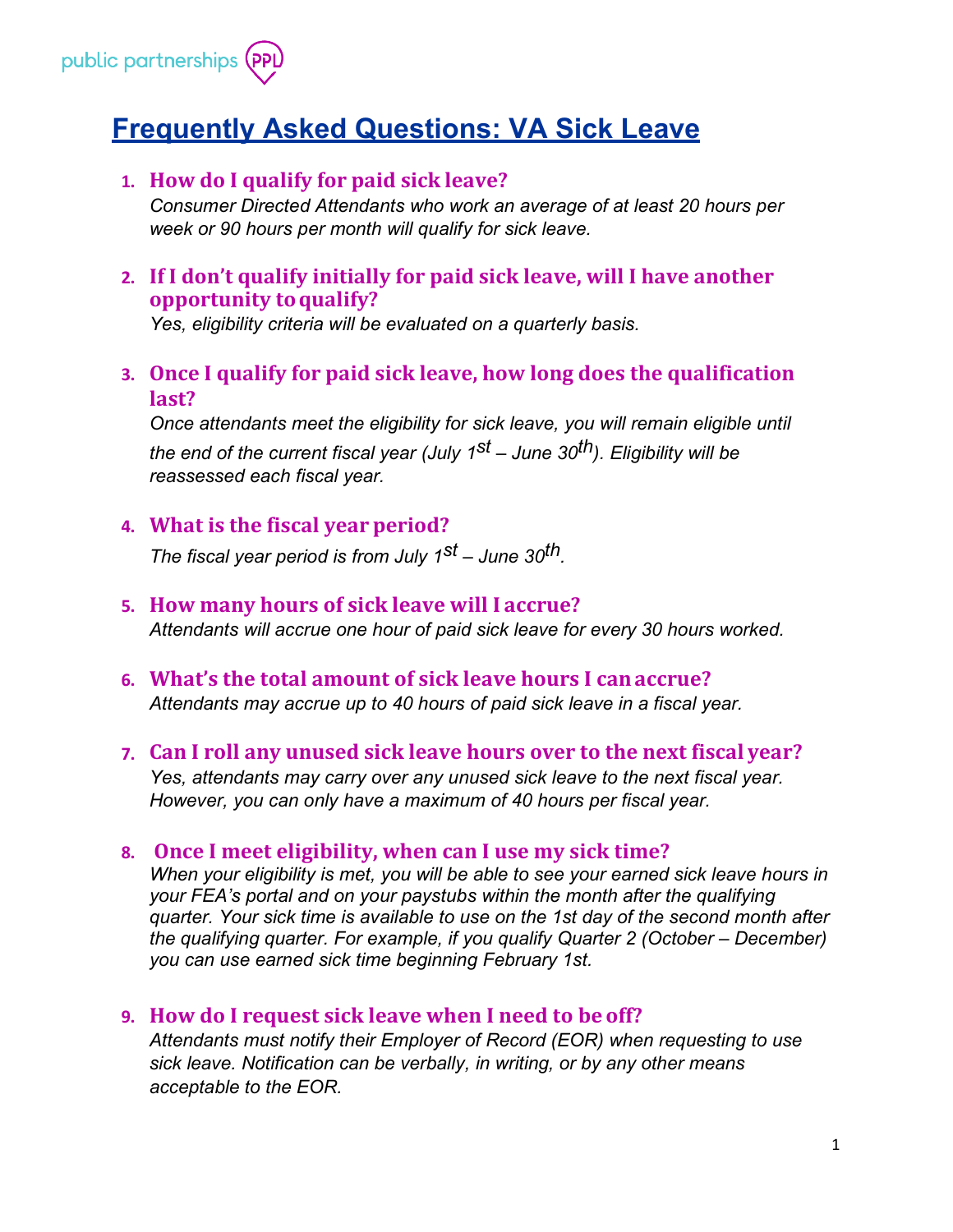

# **Frequently Asked Questions: VA Sick Leave**

# **1. How do I qualify for paid sick leave?**

*Consumer Directed Attendants who work an average of at least 20 hours per week or 90 hours per month will qualify for sick leave.*

**2. If I don't qualify initially for paid sick leave, will I have another opportunity toqualify?**

*Yes, eligibility criteria will be evaluated on a quarterly basis.*

**3. Once I qualify for paid sick leave, how long does the qualification last?**

*Once attendants meet the eligibility for sick leave, you will remain eligible until the end of the current fiscal year (July 1st – June 30th). Eligibility will be reassessed each fiscal year.*

# **4. What is the fiscal year period?**

*The fiscal year period is from July 1st – June 30th.*

# **5. How many hours of sick leave will I accrue?**

*Attendants will accrue one hour of paid sick leave for every 30 hours worked.*

- **6. What's the total amount of sick leave hours I canaccrue?** *Attendants may accrue up to 40 hours of paid sick leave in a fiscal year.*
- **7. Can I roll any unused sick leave hours over to the next fiscal year?** *Yes, attendants may carry over any unused sick leave to the next fiscal year. However, you can only have a maximum of 40 hours per fiscal year.*

## **8. Once I meet eligibility, when can I use my sick time?**

*When your eligibility is met, you will be able to see your earned sick leave hours in your FEA's portal and on your paystubs within the month after the qualifying quarter. Your sick time is available to use on the 1st day of the second month after the qualifying quarter. For example, if you qualify Quarter 2 (October – December) you can use earned sick time beginning February 1st.*

## **9. How do I request sick leave when I need to be off?**

*Attendants must notify their Employer of Record (EOR) when requesting to use sick leave. Notification can be verbally, in writing, or by any other means acceptable to the EOR.*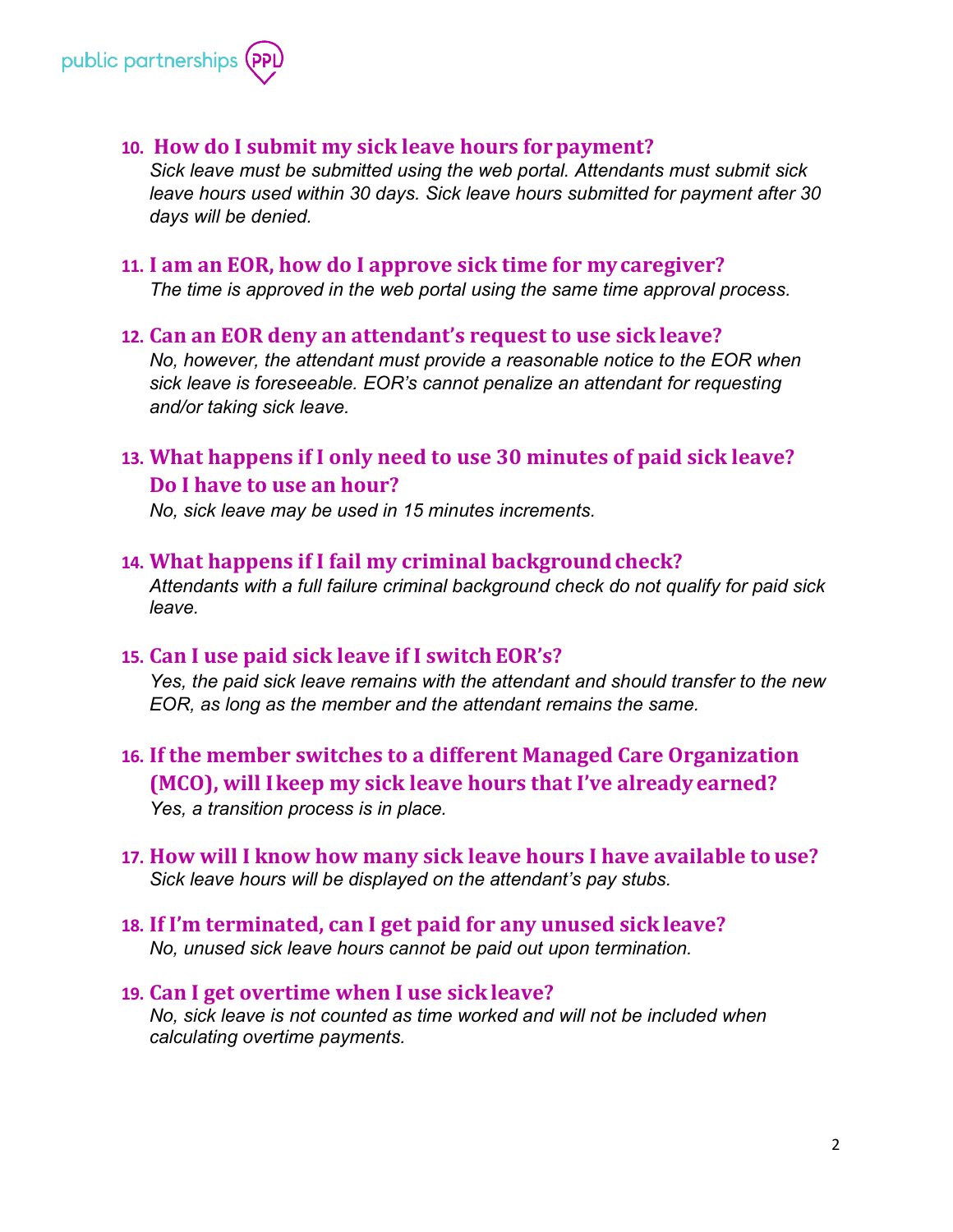

### **10. How do I submit my sick leave hours forpayment?**

*Sick leave must be submitted using the web portal. Attendants must submit sick leave hours used within 30 days. Sick leave hours submitted for payment after 30 days will be denied.*

#### **11. I am an EOR, how do I approve sick time for mycaregiver?**

*The time is approved in the web portal using the same time approval process.*

#### **12. Can an EOR deny an attendant's request to use sick leave?**

*No, however, the attendant must provide a reasonable notice to the EOR when sick leave is foreseeable. EOR's cannot penalize an attendant for requesting and/or taking sick leave.*

# **13. What happens if I only need to use 30 minutes of paid sick leave? Do I have to use an hour?**

*No, sick leave may be used in 15 minutes increments.*

#### **14. What happens if I fail my criminal backgroundcheck?**

*Attendants with a full failure criminal background check do not qualify for paid sick leave.*

## **15. Can I use paid sick leave if I switch EOR's?**

*Yes, the paid sick leave remains with the attendant and should transfer to the new EOR, as long as the member and the attendant remains the same.*

# **16. If the member switches to a different Managed Care Organization (MCO), will Ikeep my sick leave hours that I've already earned?**

*Yes, a transition process is in place.*

### **17. How will I know how many sick leave hours I have available to use?** *Sick leave hours will be displayed on the attendant's pay stubs.*

**18. If I'm terminated, can I get paid for any unused sick leave?** *No, unused sick leave hours cannot be paid out upon termination.*

#### **19. Can I get overtime when I use sick leave?**

*No, sick leave is not counted as time worked and will not be included when calculating overtime payments.*